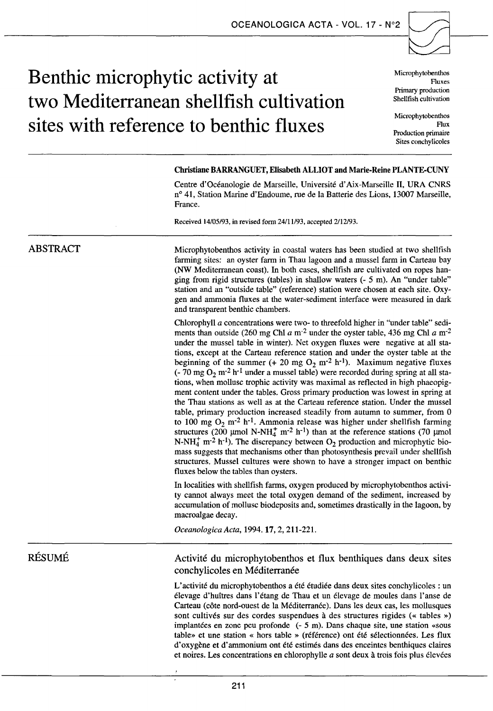## **Benthic microphytic activity at** Microphytobenthos two Mediterranean shellfish cultivation **shellfish cultivation** sites with reference to benthic fluxes

Fluxes Primary production<br>Shellfish cultivation

Flux Production primaire Sites conchylicoles

#### Christiane BARRAN GUET, Elisabeth ALLIOT and Marie-Reine PLANTE-CUNY

Centre d'Océanologie de Marseille, Université d'Aix-Marseille II, URA CNRS n° 41, Station Marine d'Endoume, rue de la Batterie des Lions, 13007 Marseille, France.

Received 14/05/93, in revised form Z4/11/93, accepted Z/1Z/93.

# Microphytobenthos activity in coastal waters bas been studied at two shellfish

farming sites: an oyster farm in Thau lagoon and a mussel farm in Carteau bay (NW Mediterranean coast). In both cases, shellfish are cultivated on ropes hanging from rigid structures (tables) in shallow waters  $(-5 \text{ m})$ . An "under table" station and an "outside table" (reference) station were chosen at each site. Oxygen and ammonia fluxes at the water-sediment interface were measured in dark and transparent benthic chambers.

Chlorophyll *a* concentrations were two- to threefold higher in "under table" sediments than outside (260 mg Chl  $a$  m<sup>-2</sup> under the oyster table, 436 mg Chl  $a$  m<sup>-2</sup> under the mussel table in winter). Net oxygen fluxes were negative at ali stations, except at the Carteau reference station and under the oyster table at the beginning of the summer  $(+ 20 \text{ mg } \text{O}_2 \text{ m}^{-2} \text{ h}^{-1})$ . Maximum negative fluxes  $(-70 \text{ mg } O_2 \text{ m}^{-2} \text{ h}^{-1}$  under a mussel table) were recorded during spring at all stations, when mollusc trophic activity was maximal as reflected in high phaeopigment content under the tables. Gross primary production was lowest in spring at the Thau stations as weil as at the Carteau reference station. Under the mussel table, primary production increased steadily from autumn to summer, from 0 to 100 mg  $O_2$  m<sup>-2</sup> h<sup>-1</sup>. Ammonia release was higher under shellfish farming structures (200 µmol N-NH<sub>4</sub> m<sup>-2</sup> h<sup>-1</sup>) than at the reference stations (70 µmol N-NH<sub>4</sub><sup>+</sup> m<sup>-2</sup> h<sup>-1</sup>). The discrepancy between  $O_2$  production and microphytic biomass suggests that mechanisms other than photosynthesis prevail under shellfish structures. Mussel cultures were shown to have a stronger impact on benthic fluxes below the tables than oysters.

In localities with shellfish farms, oxygen produced by microphytobenthos activity cannot always meet the total oxygen demand of the sediment, increased by accumulation of mollusc biodeposits and, sometimes drastically in the lagoon, by macroalgae decay.

*OceanologicaActa,* 1994.17, 2, 211-221.

### RÉSUMÉ

ABSTRACT

#### Activité du microphytobenthos et flux benthiques dans deux sites conchylicoles en Méditerranée

L'activité du microphytobenthos a été étudiée dans deux sites conchylicoles : un élevage d'huîtres dans l'étang de Thau et un élevage de moules dans l'anse de Carteau (côte nord-ouest de la Méditerranée). Dans les deux cas, les mollusques sont cultivés sur des cordes suspendues à des structures rigides (« tables ») implantées en zone peu profonde (- 5 m). Dans chaque site, une station «sous table» et une station « hors table » (référence) ont été sélectionnées. Les flux d'oxygène et d'ammonium ont été estimés dans des enceintes benthiques claires et noires. Les concentrations en chlorophylle  $a$  sont deux à trois fois plus élevées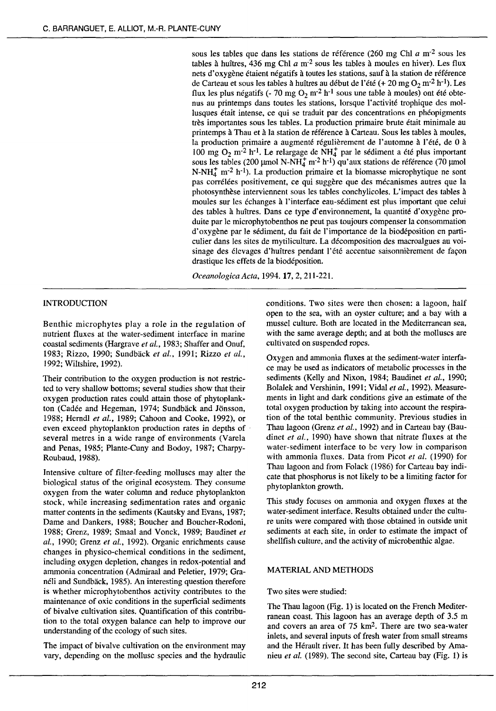sous les tables que dans les stations de référence (260 mg Chi *a* m-2 sous les tables à huîtres, 436 mg Chl  $a$  m<sup>-2</sup> sous les tables à moules en hiver). Les flux nets d'oxygène étaient négatifs à toutes les stations, sauf à la station de référence de Carteau et sous les tables à huîtres au début de l'été (+ 20 mg  $O_2$  m<sup>-2</sup> h<sup>-1</sup>). Les flux les plus négatifs (- 70 mg  $O_2$  m<sup>-2</sup> h<sup>-1</sup> sous une table à moules) ont été obtenus au printemps dans toutes les stations, lorsque l'activité trophique des mollusques était intense, ce qui se traduit par des concentrations en phéopigments très importantes sous les tables. La production primaire brute était minimale au printemps à Thau et à la station de référence à Carteau. Sous les tables à moules, la production primaire a augmenté régulièrement de l'automne à l'été, de 0 à 100 mg  $O_2$  m<sup>-2</sup> h<sup>-1</sup>. Le relargage de NH<sup>+</sup> par le sédiment a été plus important sous les tables (200 µmol N-NH $_4^+$  m<sup>-2</sup> h<sup>-1</sup>) qu'aux stations de référence (70 µmol N-NHt m-2 h-l). La production primaire et la biomasse microphytique ne sont pas corrélées positivement, ce qui suggère que des mécanismes autres que la photosynthèse interviennent sous les tables conchylicoles. L'impact des tables à moules sur les échanges à l'interface eau-sédiment est plus important que celui des tables à huîtres. Dans ce type d'environnement, la quantité d'oxygène produite par le microphytobenthos ne peut pas toujours compenser la consommation d'oxygène par le sédiment, du fait de l'importance de la biodéposition en particulier dans les sites de mytiliculture. La décomposition des macroalgues au voisinage des élevages d'huîtres pendant l'été accentue saisonnièrement de façon drastique les effets de la biodéposition.

*OceanologicaActa,* 1994. 17, 2, 211-221.

#### INTRODUCTION

Benthic microphytes play a role in the regulation of nutrient fluxes at the water-sediment interface in marine coastal sediments (Hargrave *et al.,* 1983; Shaffer and Onuf, 1983; Rizzo, 1990; Sundback *et al.,* 1991; Rizzo *et al.,*  1992; Wiltshire, 1992).

Their contribution to the oxygen production is not restricted to very shallow bottoms; several studies show that their oxygen production rates could attain those of phytoplankton (Cadée and Hegeman, 1974; Sundbäck and Jönsson, 1988; Hemdl *et al.,* 1989; Cahoon and Cooke, 1992), or even exceed phytoplankton production rates in depths of several metres in a wide range of environments (Varela and Penas, 1985; Plante-Cuny and Bodoy, 1987; Charpy-Roubaud, 1988).

Intensive culture of filter-feeding molluscs may alter the biological status of the original ecosystem. They consume oxygen from the water colurnn and reduce phytoplankton stock, while increasing sedimentation rates and organic matter contents in the sediments (Kautsky and Evans, 1987; Dame and Dankers, 1988; Boucher and Boucher-Rodoni, 1988; Grenz, 1989; Smaal and Vonck, 1989; Baudinet *et al.,* 1990; Grenz *et al.,* 1992). Organic enrichments cause changes in physico-chemical conditions in the sediment, including oxygen depletion, changes in redox-potential and ammonia concentration (Admiraal and Peletier, 1979; Granéli and Sundbäck, 1985). An interesting question therefore is whether microphytobenthos activity contributes to the maintenance of oxic conditions in the superficial sediments of bivalve cultivation sites. Quantification of this contribution to the total oxygen balance can help to improve our understanding of the ecology of such sites.

The impact of bivalve cultivation on the environment may vary, depending on the mollusc species and the hydraulic conditions. Two sites were then chosen: a lagoon, half open to the sea, with an oyster culture; and a bay with a musse! culture. Both are located in the Mediterranean sea, with the same average depth; and at both the molluscs are cultivated on suspended ropes.

Oxygen and ammonia fluxes at the sediment-water interface may be used as indicators of metabolic processes in the sediments (Kelly and Nixon, 1984; Baudinet *et al.,* 1990; Bolalek and Vershinin, 1991; Vidal *et al.,* 1992). Measurements in light and dark conditions give an estimate of the total oxygen production by taking into account the respiration of the total benthic community. Previous studies in Thau lagoon (Grenz *et al.,* 1992) and in Carteau bay (Baudinet *et al.,* 1990) have shown that nitrate fluxes at the water-sediment interface to be very low in comparison with ammonia fluxes. Data from Picot *et al.* (1990) for Thau lagoon and from Folack (1986) for Carteau bay indicate that phosphorus is not likely to be a limiting factor for phytoplankton growth.

This study focuses on ammonia and oxygen fluxes at the water-sediment interface. Results obtained under the culture units were compared with those obtained in outside unit sediments at each site, in order to estimate the impact of shellfish culture, and the activity of microbenthic algae.

#### MATERIAL AND METHODS

#### Two sites were studied:

The Thau lagoon (Fig. 1) is located on the French Mediterranean coast. This lagoon has an average depth of 3.5 m and covers an area of 75 km2. There are two sea-water inlets, and several inputs of fresh water from small streams and the Hérault river. It has been fully described by Amanieu *et al.* (1989). The second site, Carteau bay (Fig. 1) is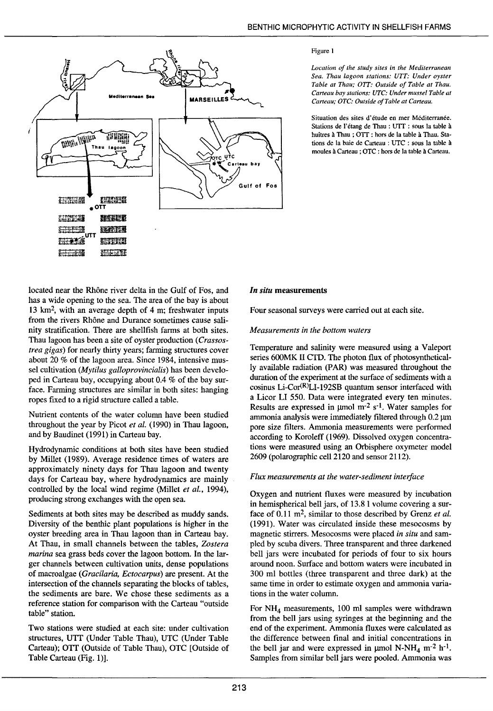

#### Figure l

*Location of the study sites in the Mediterranean Sea. Thau lagoon stations: VTT: Under oyster Table at Thau; OTT: Outside of Table at Thau. Carreau bay stations: UTC: Under musse/ Table at Carteau; OTC: Outside of Table at Carreau.* 

Situation des sites d'étude en mer Méditerranée. Stations de l'étang de Thau : UTT : sous la table à huîtres à Thau ; OTT : hors de la table à Thau. Stations de la baie de Carteau : UTC : sous la table à moules à Carteau ; OTC : hors de la table à Carteau.

Iocated near the Rhône river delta in the Gulf of Fos, and has a wide opening to the sea. The area of the bay is about 13 km<sup>2</sup>, with an average depth of  $4 \text{ m}$ ; freshwater inputs from the rivers Rhône and Durance sometimes cause salinity stratification. There are shellfish farms at both sites. Thau lagoon has been a site of oyster production ( *Crassostrea gigas)* for nearly thirty years; farming structures cover about 20 % of the lagoon area. Since 1984, intensive mussel cultivation *(Mytilus galloprovincialis)* has been developed in Carteau bay, occupying about 0.4 % of the bay surface. Farming structures are similar in both sites: hanging ropes fixed to a rigid structure called a table.

Nutrient contents of the water column have been studied throughout the year by Picot *et al.* ( 1990) in Thau lagoon, and by Baudinet (1991) in Carteau bay.

Hydrodynamic conditions at both sites have been studied by Millet (1989). Average residence times of waters are approximately ninety days for Thau lagoon and twenty days for Carteau bay, where hydrodynamics are mainly controlled by the local wind regime (Millet *et al.,* 1994), producing strong exchanges with the open sea.

Sediments at both sites may be described as muddy sands. Diversity of the benthic plant populations is higher in the oyster breeding area in Thau lagoon than in Carteau bay. At Thau, in small channels between the tables, *Zostera marina* sea grass beds cover the lagoon bottom. In the larger channels between cultivation units, dense populations of macroalgae *(Gracilaria, Ectocarpus)* are present. At the intersection of the channels separating the blocks of tables, the sediments are bare. We chose these sediments as a reference station for comparison with the Carteau "outside table" station.

Two stations were studied at each site: under cultivation structures, UTT (Under Table Thau), UTC (Under Table Carteau); OTT (Outside of Table Thau), OTC [Outside of Table Carteau (Fig. 1)].

#### *In situ* measurements

Four seasonal surveys were carried out at each site.

#### *Measurements in the bottom waters*

Temperature and salinity were measured using a Valeport series 600MK II CTD. The photon flux of photosynthetically available radiation (PAR) was measured throughout the duration of the experiment at the surface of sediments with a cosinus Li-Cor $(R)$ LI-192SB quantum sensor interfaced with a Licor LI 550. Data were integrated every ten minutes. Results are expressed in  $\mu$ mol m<sup>-2</sup> s<sup>-1</sup>. Water samples for ammonia analysis were immediately filtered through 0.2 um pore size filters. Ammonia measurements were performed according to Koroleff (1969). Dissolved oxygen concentrations were measured using an Orbisphere oxymeter model 2609 (polarographic ce112120 and sensor 2112).

#### *Flux measurements at the water-sediment interface*

Oxygen and nutrient fluxes were measured by incubation in hernispherical bell jars, of 13.8 1 volume covering a surface of 0.11 m<sup>2</sup>, similar to those described by Grenz *et al.* (1991). Water was circulated inside these mesocosms by magnetic stirrers. Mesocosms were placed *in situ* and sampied by scuba divers. Three transparent and three darkened bell jars were incubated for periods of four to six hours around noon. Surface and bottom waters were incubated in 300 ml botties (three transparent and three dark) at the same time in order to estimate oxygen and ammonia variations in the water column.

For  $NH<sub>4</sub>$  measurements, 100 ml samples were withdrawn from the bell jars using syringes at the beginning and the end of the experiment. Ammonia fluxes were calculated as the difference between final and initial concentrations in the bell jar and were expressed in  $\mu$ mol N-NH<sub>4</sub> m<sup>-2</sup> h<sup>-1</sup>. Samples from similar bell jars were pooled. Ammonia was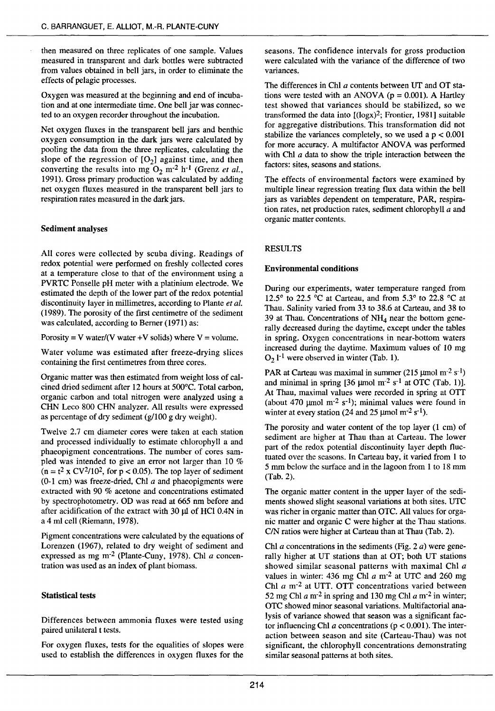then measured on three replicates of one sample. Values measured in transparent and dark botties were subtracted from values obtained in bell jars, in order to eliminate the effects of pelagie processes.

Oxygen was measured at the beginning and end of incubation and at one intermediate time. One bell jar was connected to an oxygen recorder throughout the incubation.

Net oxygen fluxes in the transparent bell jars and benthic oxygen consumption in the dark jars were calculated by pooling the data from the three replicates, calculating the slope of the regression of  $[O_2]$  against time, and then converting the results into mg  $O_2$  m<sup>-2</sup> h<sup>-1</sup> (Grenz *et al.*, 1991). Gross primary production was calculated by adding net oxygen fluxes measured in the transparent bell jars to respiration rates measured in the dark jars.

#### Sediment analyses

Ali cores were collected by scuba diving. Readings of redox potential were performed on freshly collected cores at a temperature close to that of the environment using a PVRTC Ponselle pH meter with a platinium electrode. We estimated the depth of the lower part of the redox potential discontinuity layer in millimetres, according to Plante *et al.*  (1989). The porosity of the frrst centimetre of the sediment was calculated, according to Berner (1971) as:

Porosity = V water/(V water + V solids) where  $V =$  volume.

Water volume was estimated after freeze-drying slices containing the first centimetres from three cores.

Organic matter was then estimated from weight loss of calcined dried sediment after 12 hours at 500°C. Total carbon, organic carbon and total nitrogen were analyzed using a CHN Leco 800 CHN analyzer. All results were expressed as percentage of dry sediment (g/100 g dry weight).

Twelve 2.7 cm diameter cores were taken at each station and processed individually to estimate chlorophyll a and phaeopigment concentrations. The number of cores sampied was intended to give an error not larger than 10 %  $(n = t^2 \times CV^2/10^2)$ , for p < 0.05). The top layer of sediment  $(0-1 \text{ cm})$  was freeze-dried, Chl  $a$  and phaeopigments were extracted with 90 % acetone and concentrations estimated by spectrophotometry. OD was read at 665 nm before and after acidification of the extract with  $30 \mu$  of HCl 0.4N in a 4 ml cell (Riemann, 1978).

Pigment concentrations were calculated by the equations of Lorenzen (1967), related to dry weight of sediment and expressed as mg m-2 (Plante-Cuny, 1978). Chi *a* concentration was used as an index of plant biomass.

#### Statistical tests

Differences between ammonia fluxes were tested using paired unilateral t tests.

For oxygen fluxes, tests for the equalities of slopes were used to establish the differences in oxygen fluxes for the

seasons. The confidence intervals for gross production were calculated with the variance of the difference of two variances.

The differences in Chi *a* contents between UT and OT stations were tested with an ANOVA ( $p = 0.001$ ). A Hartley test showed that variances should be stabilized, so we transformed the data into  $[(\text{log}x)^2]$ ; Frontier, 1981] suitable for aggregative distributions. This transformation did not stabilize the variances completely, so we used a  $p < 0.001$ for more accuracy. A multifactor ANOVA was performed with Chl  $a$  data to show the triple interaction between the factors: sites, seasons and stations.

The effects of environmental factors were examined by multiple linear regression treating flux data within the bell jars as variables dependent on temperature, PAR, respiration rates, net production rates, sediment chlorophyll  $a$  and organic matter contents.

#### RESULTS

#### Environmental conditions

During our experiments, water temperature ranged from 12.5° to 22.5 °C at Carteau, and from 5.3° to 22.8 °C at Thau. Salinity varied from 33 to 38.6 at Carteau, and 38 to 39 at Thau. Concentrations of  $NH<sub>4</sub>$  near the bottom generally decreased during the daytime, except under the tables in spring. Oxygen concentrations in near-bottom waters increased during the daytime. Maximum values of 10 mg  $O_2$  1<sup>-1</sup> were observed in winter (Tab. 1).

PAR at Carteau was maximal in summer (215  $\mu$ mol m<sup>-2</sup> s<sup>-1</sup>) and minimal in spring  $[36 \text{ }\mu\text{mol m}^{-2} \text{ s}^{-1}$  at OTC (Tab. 1)]. At Thau, maximal values were recorded in spring at OTT (about 470  $\mu$ mol m<sup>-2</sup> s<sup>-1</sup>); minimal values were found in winter at every station (24 and 25  $\mu$ mol m<sup>-2</sup> s<sup>-1</sup>).

The porosity and water content of the top layer (1 cm) of sediment are higher at Thau than at Carteau. The Iower part of the redox potential discontinuity layer depth fluctuated over the seasons. In Carteau bay, it varied from 1 to 5 mm below the surface and in the lagoon from 1 to 18 mm (Tab. 2).

The organic matter content in the upper layer of the sediments showed slight seasonal variations at both sites. UTC was richer in organic matter than OTC. All values for organic matter and organic C were higher at the Thau stations. C/N ratios were higher at Carteau than at Thau (Tab. 2).

Chl *a* concentrations in the sediments (Fig. 2  $a$ ) were generally higher at UT stations than at OT; both UT stations showed simiiar seasonai patterns with maximal Chi *a*  values in winter: 436 mg Chl *a* m-2 at UTC and 260 mg Chi *a* m-2 at UTT. OTT concentrations varied between 52 mg Chi *a* m-2 in spring and 130 mg Chi *a* m-2 in winter; OTC showed minor seasonal variations. Multifactorial analysis of variance showed that season was a significant factor influencing Chl  $a$  concentrations ( $p < 0.001$ ). The interaction between season and site (Carteau-Thau) was not significant, the chlorophyll concentrations demonstrating similar seasonal patterns at both sites.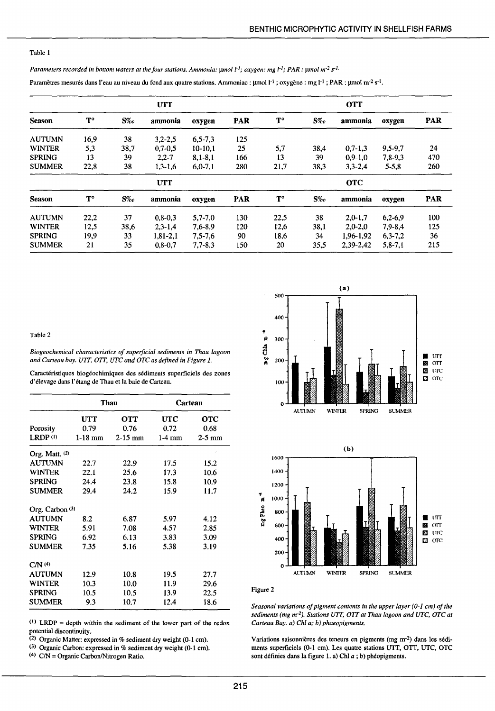#### Table 1

*Parameters recorded in bottom waters at the four stations. Ammonia: µmol l<sup>-1</sup>; <i>oxygen: mg l<sup>-1</sup>; PAR: µmol m<sup>-2</sup> s<sup>-1</sup>.* 

Paramètres mesurés dans l'eau au niveau du fond aux quatre stations. Ammoniac : µmol l<sup>-1</sup> ; oxygène : mg l<sup>-1</sup> ; PAR : µmol m<sup>-2</sup> s<sup>-1</sup>.

|               |                      |       | <b>UTT</b>  |               |            |                      |       | <b>OTT</b>  |           |            |
|---------------|----------------------|-------|-------------|---------------|------------|----------------------|-------|-------------|-----------|------------|
| <b>Season</b> | $\mathbf{T}^{\circ}$ | $S\%$ | ammonia     | oxygen        | <b>PAR</b> | $\mathbf{T}^{\circ}$ | $S\%$ | ammonia     | oxygen    | <b>PAR</b> |
| <b>AUTUMN</b> | 16,9                 | 38    | $3,2 - 2,5$ | $6, 5 - 7, 3$ | 125        |                      |       |             |           |            |
| <b>WINTER</b> | 5,3                  | 38,7  | $0.7 - 0.5$ | $10-10.1$     | 25         | 5,7                  | 38,4  | $0.7 - 1.3$ | 9,5-9,7   | 24         |
| <b>SPRING</b> | 13                   | 39    | $2.2 - 7$   | $8,1 - 8,1$   | 166        | 13                   | 39    | $0.9 - 1.0$ | 7,8-9,3   | 470        |
| <b>SUMMER</b> | 22,8                 | 38    | $1,3-1,6$   | $6.0 - 7.1$   | 280        | 21,7                 | 38,3  | $3.3 - 2.4$ | $5 - 5.8$ | 260        |
|               |                      |       | <b>UTT</b>  |               |            |                      |       | <b>OTC</b>  |           |            |
| <b>Season</b> | $T^{\circ}$          | $S\%$ | ammonia     | oxygen        | <b>PAR</b> | $\mathbf{T}^{\circ}$ | $S\%$ | ammonia     | oxygen    | <b>PAR</b> |
| <b>AUTUMN</b> | 22,2                 | 37    | $0.8 - 0.3$ | $5.7 - 7.0$   | 130        | 22.5                 | 38    | $2.0 - 1.7$ | $6,2-6,9$ | 100        |
| <b>WINTER</b> | 12,5                 | 38,6  | $2.3 - 1.4$ | 7.6-8.9       | 120        | 12,6                 | 38,1  | $2,0-2,0$   | 7,9-8,4   | 125        |
| <b>SPRING</b> | 19,9                 | 33    | $1,81-2,1$  | $7.5 - 7.6$   | 90         | 18,6                 | 34    | 1.96-1.92   | $6,3-7,2$ | 36         |
| <b>SUMMER</b> | 21                   | 35    | $0.8 - 0.7$ | $7.7 - 8.3$   | 150        | 20                   | 35,5  | 2,39-2,42   | $5,8-7,1$ | 215        |

Table 2

*Biogeochemical characteristics of superficial sediments in Thau lagoon and Carteau bay. UIT, OIT, UTC and OTC as defined in Figure 1.* 

| Caractéristiques biogéochimiques des sédiments superficiels des zones |  |  |
|-----------------------------------------------------------------------|--|--|
| d'élevage dans l'étang de Thau et la baie de Carteau.                 |  |  |

|                   |           | Thau       |            | Carteau    |  |  |
|-------------------|-----------|------------|------------|------------|--|--|
|                   | UTT       | <b>OTT</b> | <b>UTC</b> | <b>OTC</b> |  |  |
| Porosity          | 0.79      | 0.76       | 0.72       | 0.68       |  |  |
| LRDP(1)           | $1-18$ mm | $2-15$ mm  | $1-4$ mm   | $2-5$ mm   |  |  |
| Org. Matt. $(2)$  |           |            |            |            |  |  |
| AUTUMN            | 22.7      | 22.9       | 17.5       | 15.2       |  |  |
| WINTER            | 22.1      | 25.6       | 17.3       | 10.6       |  |  |
| <b>SPRING</b>     | 24.4      | 23.8       | 15.8       | 10.9       |  |  |
| SUMMER            | 29.4      | 24.2       | 15.9       | 11.7       |  |  |
| Org. Carbon $(3)$ |           |            |            |            |  |  |
| <b>AUTUMN</b>     | 8.2       | 6.87       | 5.97       | 4.12       |  |  |
| WINTER            | 5.91      | 7.08       | 4.57       | 2.85       |  |  |
| <b>SPRING</b>     | 6.92      | 6.13       | 3.83       | 3.09       |  |  |
| <b>SUMMER</b>     | 7.35      | 5.16       | 5.38       | 3.19       |  |  |
| CM <sup>(4)</sup> |           |            |            |            |  |  |
| <b>AUTUMN</b>     | 12.9      | 10.8       | 19.5       | 27.7       |  |  |
| <b>WINTER</b>     | 10.3      | 10.0       | 11.9       | 29.6       |  |  |
| <b>SPRING</b>     | 10.5      | 10.5       | 13.9       | 22.5       |  |  |
| <b>SUMMER</b>     | 9.3       | 10.7       | 12.4       | 18.6       |  |  |

(1) LRDP = depth within the sediment of the lower part of the redox potential discontinuity.

(Z) Organic Matter: expressed in % sediment dry weight (0-1 cm).

(3) Organic Carbon: expressed in % sediment dry weight (0-1 cm).

(4) C/N = Organic Carbon/Nitrogen Ratio.





Figure 2

*Seasonal variations of pigment contents in the upper layer (0-1 cm) of the sediments (mg m·2). Stations UTT, OTT at Thau lagoon and UTC, OTC at Carteau Bay. a) Chi a; b) phaeopigments.* 

Variations saisonnières des teneurs en pigments (mg m·2) dans les sédiments superficiels (0-1 cm). Les quatre stations VTT, OTT, UTC, OTC sont définies dans la figure l. a) Chl *a* ; b) phéopigments.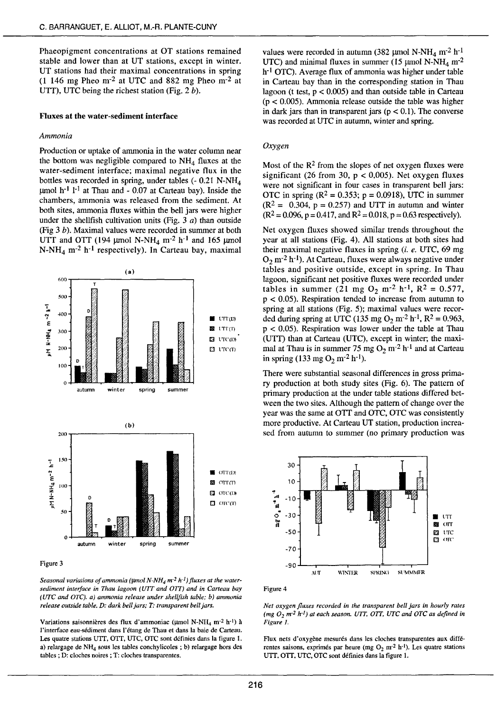Phaeopigment concentrations at OT stations remained stable and lower than at UT stations, except in winter. UT stations had their maximal concentrations in spring (1 146 mg Pheo m·Z at UTC and 882 mg Pheo m·Z at UTT), UTC being the richest station (Fig.  $2 b$ ).

#### Fluxes at the water-sediment interface

#### *Ammonia*

Production or uptake of ammonia in the water column near the bottom was negligible compared to  $NH<sub>4</sub>$  fluxes at the water-sediment interface; maximal negative flux in the bottles was recorded in spring, under tables  $(-0.21 \text{ N-NH}_4)$  $\mu$ mol h<sup>-1</sup> l<sup>-1</sup> at Thau and - 0.07 at Carteau bay). Inside the chambers, ammonia was released from the sediment. At both sites, ammonia fluxes within the bell jars were higher under the shellfish cultivation units (Fig. 3  $a$ ) than outside (Fig 3 b). Maximal values were recorded in summer at both UTT and OTT (194 µmol N-NH<sub>4</sub> m<sup>-2</sup> h<sup>-1</sup> and 165 µmol N-NH<sub>4</sub> m<sup>-2</sup> h<sup>-1</sup> respectively). In Carteau bay, maximal



Figure 3

Seasonal variations of ammonia ( $\mu$ mol N-NH<sub>4</sub> m<sup>-2</sup> h<sup>-1</sup>) fluxes at the water*sediment interface in Thau lagoon ( UTT and OTT) and in Carteau bay (UTC and OTC). a) ammonia release under shellfish table; b) ammonia release outside table. D: dark bell jars; T: transparent bell jars.* 

Variations saisonnières des flux d'ammoniac ( $\mu$ mol N-NH<sub>4</sub> m<sup>-2</sup> h<sup>-1</sup>) à l'interface eau-sédiment dans l'étang de Thau et dans la baie de Carteau. Les quatre stations UTT, OTT, UTC, OTC sont définies dans la figure 1. a) relargage de NH4 sous les tables conchylicoles ; b) relargage hors des tables ; D: cloches noires ; T: cloches transparentes.

values were recorded in autumn (382 µmol N-NH<sub>4</sub> m<sup>-2</sup> h<sup>-1</sup> UTC) and minimal fluxes in summer (15  $\mu$ mol N-NH<sub>4</sub> m<sup>-2</sup> h<sup>-1</sup> OTC). Average flux of ammonia was higher under table in Carteau bay than in the corresponding station in Thau lagoon (t test,  $p < 0.005$ ) and than outside table in Carteau (p < 0.005). Ammonia release outside the table was higher in dark jars than in transparent jars ( $p < 0.1$ ). The converse was recorded at UTC in autumn, winter and spring.

#### *Oxygen*

Most of the  $R^2$  from the slopes of net oxygen fluxes were significant (26 from 30,  $p < 0.005$ ). Net oxygen fluxes were not significant in four cases in transparent bell jars: OTC in spring ( $R^2 = 0.353$ ; p = 0.0918), UTC in summer  $(R^2 = 0.304, p = 0.257)$  and UTT in autumn and winter  $(R^2 = 0.096, p = 0.417,$  and  $R^2 = 0.018, p = 0.63$  respectively).

Net oxygen fluxes showed similar trends throughout the year at ali stations (Fig. 4). All stations at both sites had their maximal negative fluxes in spring (i. *e.* UTC, 69 mg *Oz* m-Z h-1). At Carteau, fluxes were always negative under tables and positive outside, except in spring. In Thau lagoon, significant net positive fluxes were recorded under tables in summer (21 mg  $O_2$  m<sup>-2</sup> h<sup>-1</sup>, R<sup>2</sup> = 0.577,  $p < 0.05$ ). Respiration tended to increase from autumn to spring at ali stations (Fig. 5); maximal values were recorded during spring at UTC (135 mg  $O_2$  m<sup>-2</sup> h<sup>-1</sup>, R<sup>2</sup> = 0.963,  $p < 0.05$ ). Respiration was lower under the table at Thau (UTT) than at Carteau (UTC), except in winter; the maximal at Thau is in summer 75 mg O<sub>2</sub> m<sup>-2</sup> h<sup>-1</sup> and at Carteau in spring (133 mg *Oz* m-2 h-1).

There were substantial seasonal differences in gross primary production at both study sites (Fig. 6). The pattern of primary production at the under table stations differed between the two sites. Although the pattern of change over the year was the same at OTT and OTC, OTC was consistently more productive. At Carteau UT station, production increased from autumn to summer (no primary production was



Figure 4

*Net oxygen fluxes recorded in the transparent bell jars in hour/y rates (mg 0 <sup>2</sup>m-2 h-1) at each season. UTT. OTT, UTC and OTC as defined in Figure 1.* 

Flux nets d'oxygène mesurés dans les cloches transparentes aux différentes saisons, exprimés par heure (mg  $O_2$  m<sup>-2</sup> h<sup>-1</sup>). Les quatre stations VTT, OIT, UTC, OTC sont définies dans la figure 1.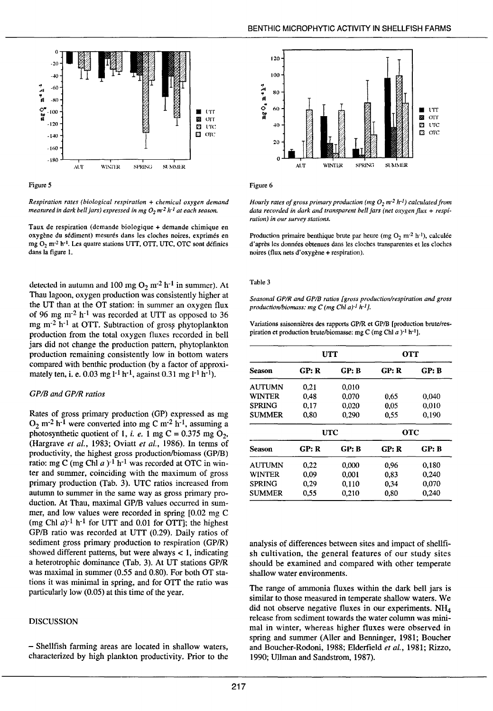

Figure *5* 

*Respiration rates (biological respiration* + *chemical oxygen demand measured in dark bell jars) expressed in mg O<sub>2</sub> m<sup>-2</sup> h<sup>-1</sup> at each season.* 

Taux de respiration (demande biologique + demande chimique en oxygène du sédiment) mesurés dans les cloches noires, exprimés en mg O<sub>2</sub> m<sup>-2</sup> h<sup>-1</sup>. Les quatre stations UTT, OTT, UTC, OTC sont définies dans la figure L

detected in autumn and 100 mg  $O_2$  m<sup>-2</sup> h<sup>-1</sup> in summer). At Thau lagoon, oxygen production was consistently higher at the UT than at the OT station: in summer an oxygen flux of 96 mg m<sup>-2</sup> h<sup>-1</sup> was recorded at UTT as opposed to 36 mg m<sup>-2</sup> h<sup>-1</sup> at OTT. Subtraction of gross phytoplankton production from the total oxygen fluxes recorded in bell jars did not change the production pattern, phytopiankton production remaining consistently Iow in bottom waters compared with benthic production (by a factor of approximately ten, i. e. 0.03 mg  $1^{-1}$  h<sup>-1</sup>, against 0.31 mg  $1^{-1}$  h<sup>-1</sup>).

#### *GP/B and GP!R ratios*

Rates of gross primary production (GP) expressed as mg  $O_2$  m<sup>-2</sup> h<sup>-1</sup> were converted into mg C m<sup>-2</sup> h<sup>-1</sup>, assuming a photosynthetic quotient of 1, *i. e.* 1 mg C =  $0.375$  mg O<sub>2</sub>, (Hargrave *et al.,* 1983; Oviatt *et al.,* 1986). ln terms of productivity, the highest gross production/biomass (GP/B) ratio: mg C (mg Chl  $a$ )<sup>-1</sup> h<sup>-1</sup> was recorded at OTC in winter and sommer, coinciding with the maximum of gross primary production (Tab. 3). UTC ratios increased from autumn to summer in the same way as gross primary production. At Thau, maximal GP/B values occurred in summer, and low values were recorded in spring [0.02 mg C (mg Chl  $a$ )<sup>-1</sup> h<sup>-1</sup> for UTT and 0.01 for OTT]; the highest GP/B ratio was recorded at UTT (0.29). Daily ratios of sediment gross primary production to respiration (GP/R) showed different patterns, but were always < 1, indicating a heterotrophic dominance (Tab\_ 3). At UT stations GP/R was maximal in summer (0.55 and 0.80). For both OT stations it was minimal in spring, and for OTT the ratio was particuiarly Iow (0.05) at this time of the year.

#### **DISCUSSION**

- Shellfish farming areas are located in shallow waters, characterized by high plankton productivity. Prior to the



Figure 6

*Hourly rates of gross primary production (mg O<sub>2</sub> m<sup>-2</sup> h<sup>-1</sup>) calculated from* data recorded in dark and transparent bell jars (net oxygen flux + *respiration) in our survey stations.* 

Production primaire benthique brute par heure (mg  $O_2$  m<sup>-2</sup> h<sup>-1</sup>), calculée d'après les données obtenues dans les cloches transparentes et les cloches noires (flux nets d'oxygène + respiration).

#### Table 3

*Seasonal GP/R and GPIB ratios [gross production/respiration and gross productionlbiomass: mg C (mg Chi a)-1 h-1 1-*

Variations saisonnières des rapports GP/R et GP/B [production brute/respiration et production brute/biomasse: mg C (mg Chl *a*)<sup>-1</sup> h<sup>-1</sup>].

|               |       | <b>UTT</b> | <b>OTT</b> |       |  |
|---------------|-------|------------|------------|-------|--|
| Season        | GP: R | GP: B      | GP: R      | GP: B |  |
| <b>AUTUMN</b> | 0.21  | 0,010      |            |       |  |
| WINTER        | 0,48  | 0.070      | 0.65       | 0,040 |  |
| <b>SPRING</b> | 0.17  | 0.020      | 0.05       | 0.010 |  |
| <b>SUMMER</b> | 0.80  | 0,290      | 0.55       | 0.190 |  |
|               |       | <b>UTC</b> | <b>OTC</b> |       |  |
| Season        | GP: R | GP: B      | GP: R      | GP: B |  |
| <b>AUTUMN</b> | 0.22  | 0.000      | 0.96       | 0.180 |  |
| WINTER        | 0.09  | 0.001      | 0.83       | 0.240 |  |
| SPRING        | 0,29  | 0,110      | 0,34       | 0,070 |  |
| <b>SUMMER</b> | 0.55  | 0,210      | 0.80       | 0.240 |  |

analysis of differences between sites and impact of shellfish cultivation, the general features of our study sites should be examined and compared with other temperate shallow water environments.

The range of ammonia fluxes within the dark bell jars is similar to those measured in temperate shallow waters. We did not observe negative fluxes in our experiments.  $NH<sub>4</sub>$ release from sediment towards the water column was minimal in winter, whereas higher fluxes were observed in spring and sommer (Aller and Benninger, 1981; Boucher and Boucher-Rodoni, 1988; Eiderfieid *et al.,* 1981; Rizzo, 1990; Ullman and Sandstrom, 1987).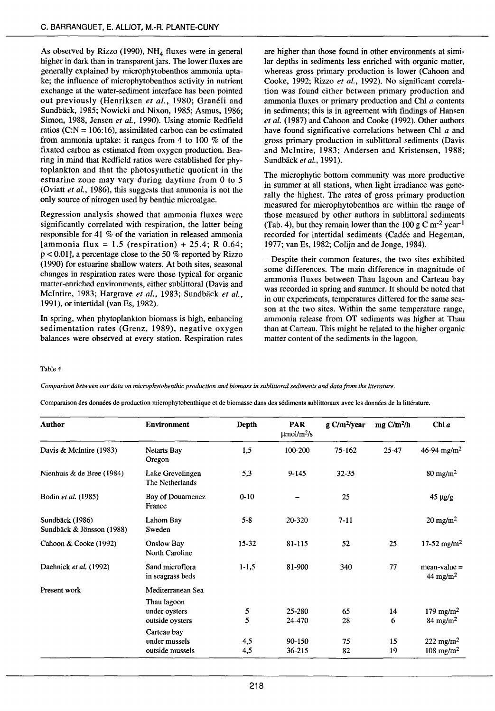As observed by Rizzo (1990),  $NH<sub>4</sub>$  fluxes were in general higher in dark than in transparent jars. The lower fluxes are generally explained by microphytobenthos ammonia uptake; the influence of microphytobenthos activity in nutrient exchange at the water-sediment interface bas been pointed out previously (Henriksen et al., 1980; Granéli and Sundbäck, 1985; Nowicki and Nixon, 1985; Asmus, 1986; Simon, 1988, Jensen et al., 1990). Using atomic Redfield ratios (C:N = 106:16), assimilated carbon can be estimated from ammonia uptake: it ranges from 4 to lOO % of the fixated carbon as estimated from oxygen production. Bearing in mind that Redfield ratios were established for phytoplankton and that the photosynthetic quotient in the estuarine zone may vary during daytime from 0 to 5 (Oviatt *et al.,* 1986), this suggests that ammonia is not the only source of nitrogen used by benthic microalgae.

Regression analysis showed that ammonia fluxes were significantly correlated with respiration, the latter being responsible for 41 % of the variation in released ammonia [ammonia flux = 1.5 (respiration) + 25.4; R 0.64;  $p < 0.01$ , a percentage close to the 50 % reported by Rizzo (1990) for estuarine shaliow waters. At both sites, seasonal changes in respiration rates were those typical for organic matter-enriched environments, either sublittoral (Davis and Mclntire, 1983; Hargrave *et al.,* 1983; Sundback *et al.,*  1991), or intertidal (van Es, 1982).

In spring, when phytoplankton biomass is high, enhancing sedimentation rates (Grenz, 1989), negative oxygen balances were observed at every station. Respiration rates

are higher than those found in other environments at similar depths in sediments less enriched with organic matter, whereas gross primary production is lower (Cahoon and Cooke, 1992; Rizzo *et al.,* 1992). No significant correlation was found either between primary production and ammonia fluxes or primary production and Chi a contents in sediments; this is in agreement with findings of Hansen *et al.* (1987) and Cahoon and Cooke (1992). Other authors have found significative correlations between Chl a and gross primary production in sublittoral sediments (Davis and Mclntire, 1983; Andersen and Kristensen, 1988; Sundback *et al.,* 1991).

The microphytic bottom community was more productive in summer at all stations, when light irradiance was generally the highest. The rates of gross primary production measured for microphytobenthos are within the range of those measured by other authors in sublittoral sediments (Tab. 4), but they remain lower than the 100 g C m<sup>-2</sup> year<sup>-1</sup> recorded for intertidai sediments (Cadée and Hegeman, 1977; van Es, 1982; Colijn and de Jonge, 1984).

- Despite their common features, the two sites exhibited some differences. The main difference in magnitude of ammonia fluxes between Thau lagoon and Carteau bay was recorded in spring and summer. lt should be noted that in our experiments, temperatures differed for the same season at the two sites. Within the same temperature range, ammonia release from OT sediments was higher at Thau than at Carteau. This might be related to the higher organic matter content of the sediments in the lagoon.

Table 4

*Comparison between our data on microphytobenthic production and biomass in sublittoral sediments and data from the lite rature.* 

Comparaison des données de production microphytobenthique et de biomasse dans des sédiments sublittoraux avec les données de la littérature.

| <b>Author</b>                                | <b>Environment</b>                                                                  | Depth                | <b>PAR</b><br>$\mu$ mol/m <sup>2</sup> /s | $g \frac{C}{m^2}$ /year | $mg \frac{C}{m^2}$ h | Chl a                                            |
|----------------------------------------------|-------------------------------------------------------------------------------------|----------------------|-------------------------------------------|-------------------------|----------------------|--------------------------------------------------|
| Davis & McIntire (1983)                      | <b>Netarts Bay</b><br>Oregon                                                        | 1,5                  | 100-200                                   | 75-162                  | $25 - 47$            | 46-94 mg/m <sup>2</sup>                          |
| Nienhuis & de Bree (1984)                    | Lake Grevelingen<br>The Netherlands                                                 | 5,3                  | $9 - 145$                                 | $32 - 35$               |                      | $80 \text{ mg/m}^2$                              |
| Bodin et al. (1985)                          | Bay of Douarnenez<br>France                                                         | $0 - 10$             |                                           | 25                      |                      | $45 \mu g/g$                                     |
| Sundbäck (1986)<br>Sundbäck & Jönsson (1988) | Lahom Bay<br>Sweden                                                                 | $5 - 8$              | 20-320                                    | $7 - 11$                |                      | $20 \text{ mg/m}^2$                              |
| Cahoon & Cooke (1992)                        | Onslow Bay<br>North Caroline                                                        | $15 - 32$            | $81 - 115$                                | 52                      | 25                   | 17-52 mg/m <sup>2</sup>                          |
| Daehnick et al. (1992)                       | Sand microflora<br>in seagrass beds                                                 | $1 - 1, 5$           | 81-900                                    | 340                     | 77                   | $mean-value =$<br>$44 \text{ mg/m}^2$            |
| Present work                                 | Mediterranean Sea<br>Thau lagoon                                                    |                      |                                           |                         |                      |                                                  |
|                                              |                                                                                     |                      |                                           |                         |                      | 179 mg/m <sup>2</sup>                            |
|                                              |                                                                                     |                      |                                           |                         |                      | $84 \text{ mg/m}^2$                              |
|                                              |                                                                                     |                      |                                           |                         |                      |                                                  |
|                                              |                                                                                     |                      |                                           |                         |                      | 222 mg/m <sup>2</sup><br>$108$ mg/m <sup>2</sup> |
|                                              | under oysters<br>outside oysters<br>Carteau bay<br>under mussels<br>outside mussels | 5<br>5<br>4,5<br>4,5 | 25-280<br>24-470<br>90-150<br>$36 - 215$  | 65<br>28<br>75<br>82    | 14<br>6<br>15<br>19  |                                                  |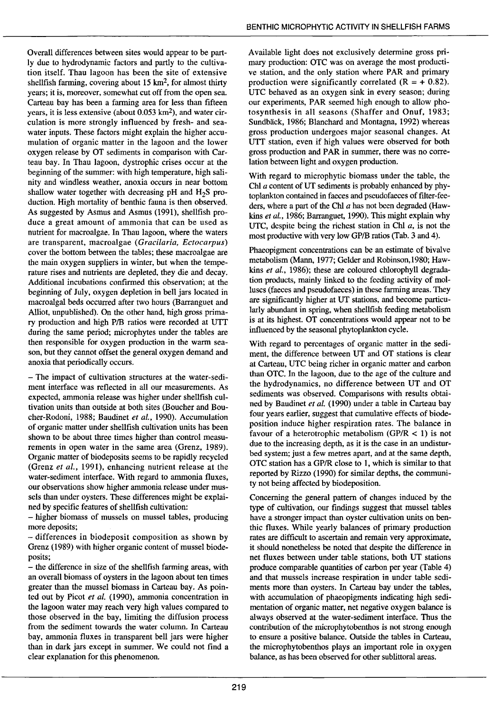Overall differences between sites would appear to be partly due to hydrodynamic factors and partly to the cultivation itself. Thau lagoon has been the site of extensive shellfish farming, covering about 15 km2, for almost thirty years; it is, moreover, somewhat eut off from the open sea. Carteau bay bas been a farming area for less than fifteen years, it is less extensive (about 0.053 km2), and water circulation is more strongly influenced by fresh- and seawater inputs. These factors might explain the higher accumulation of organic matter in the lagoon and the lower oxygen release by OT sediments in comparison with Carteau bay. In Thau lagoon, dystrophie crises occur at the beginning of the summer: with high temperature, high salinity and windless weather, anoxia occurs in near bottom shallow water together with decreasing pH and  $H_2S$  production. High mortality of benthic fauna is then observed. As suggested by Asmus and Asmus (1991), shellfish produce a great amount of ammonia that can be used as nutrient for macroalgae. ln Thau lagoon, where the waters are transparent, macroalgae ( *Gracilaria, Ectocarpus)*  cover the bottom between the tables; these macroalgae are the main oxygen suppliers in winter, but when the temperature rises and nutrients are depleted, they die and decay. Additional incubations confirmed this observation; at the beginning of July, oxygen depletion in bell jars Iocated in macroalgal beds occurred after two hours (Barranguet and Alliot, unpublished). On the other hand, high gross primary production and high P/B ratios were recorded at UTT during the same period; microphytes under the tables are then responsible for oxygen production in the warm season, but they cannot offset the general oxygen demand and anoxia that periodically occurs.

- The impact of cultivation structures at the water-sediment interface was reflected in ail our measurements. As expected, ammonia release was higher under shellfish cultivation units than outside at both sites (Boucher and Boucher-Rodoni, 1988; Baudinet *et al.,* 1990). Accumulation of organic matter under shellfish cultivation units bas been shown to be about three times higher than control measurements in open water in the same area (Grenz, 1989). Organic matter of biodeposits seems to be rapidly recycled (Grenz *et al.,* 1991), enhancing nutrient release at the water-sediment interface. With regard to ammonia fluxes, our observations show higher ammonia release under mussels than under oysters. These differences might be explained by specifie features of shellfish cultivation:

- higher biomass of mussels on mussel tables, producing more deposits;

- differences in biodeposit composition as shown by Grenz (1989) with higher organic content of mussel biodeposits;

- the difference in size of the shellfish farming areas, with an overall biomass of oysters in the lagoon about ten times greater than the musse] biomass in Carteau bay. As pointed out by Picot *et al.* ( 1990), ammonia concentration in the lagoon water may reach very high values compared to those observed in the bay, limiting the diffusion process from the sediment towards the water column. In Carteau bay, ammonia fluxes in transparent bell jars were higher than in dark jars except in summer. We could not find a clear explanation for this phenomenon.

Available light does not exclusively determine gross primary production: OTC was on average the most productive station, and the only station where PAR and primary production were significantly correlated  $(R = +0.82)$ . UTC behaved as an oxygen sink in every season; during our experiments, PAR seemed high enough to allow photosynthesis in all seasons (Shaffer and Onuf, 1983; Sundbäck, 1986; Blanchard and Montagna, 1992) whereas gross production undergoes major seasonal changes. At UTT station, even if high values were observed for both gross production and PAR in summer, there was no correlation between light and oxygen production.

With regard to microphytic biomass under the table, the Chi a content of UT sediments is probably enhanced by phytoplankton contained in faeces and pseudofaeces of fùter-feeders, where a part of the Chi *a* bas not been degraded (Hawkins *et al.,* 1986; Barranguet, 1990). This might explain why UTC, despite being the richest station in Chi *a,* is not the most productive with very low GP/B ratios (Tab. 3 and 4).

Phaeopigment concentrations can be an estimate of bivalve metabolism (Mann, 1977; Gelder and Robinson,1980; Hawkins *et al.,* 1986); these are coloured chiorophyll degradation products, mainly linked to the feeding activity of molluscs (faeces and pseudofaeces) in these farming areas. They are significantly higher at UT stations, and become particularly abundant in spring, when shellfish feeding metabolism is at its highest. OT concentrations would appear not to be influenced by the seasonal phytoplankton cycle.

With regard to percentages of organic matter in the sediment, the difference between UT and OT stations is clear at Carteau, UTC being richer in organic matter and carbon than OTC. In the lagoon, due to the age of the culture and the hydrodynamics, no difference between UT and OT sediments was observed. Comparisons with results obtained by Baudinet *et al.* ( 1990) under a table in Carteau bay four years earlier, suggest that cumulative effects of biodeposition induce higher respiration rates. The balance in favour of a heterotrophic metabolism (GP/R  $\lt$  1) is not due to the increasing depth, as it is the case in an undisturbed system; just a few metres apart, and at the same depth, OTC station bas a GP/R close to 1, which is similar to that reported by Rizzo (1990) for similar depths, the community not being affected by biodeposition.

Concerning the general pattern of changes induced by the type of cultivation, our findings suggest that mussel tables have a stronger impact than oyster cultivation units on benthic fluxes. While yearly balances of primary production rates are difficult to ascertain and remain very approximate, it should nonetheless be noted that despite the difference in net fluxes between under table stations, both UT stations produce comparable quantities of carbon per year (Table 4) and that mussels increase respiration in under table sediments more than oysters. In Carteau bay under the tables, with accumulation of phaeopigments indicating high sedimentation of organic matter, net negative oxygen balance is always observed at the water-sediment interface. Thus the contribution of the microphytobenthos is not strong enough to ensure a positive balance. Outside the tables in Carteau, the microphytobenthos plays an important role in oxygen balance, as bas been observed for other sublittoral areas.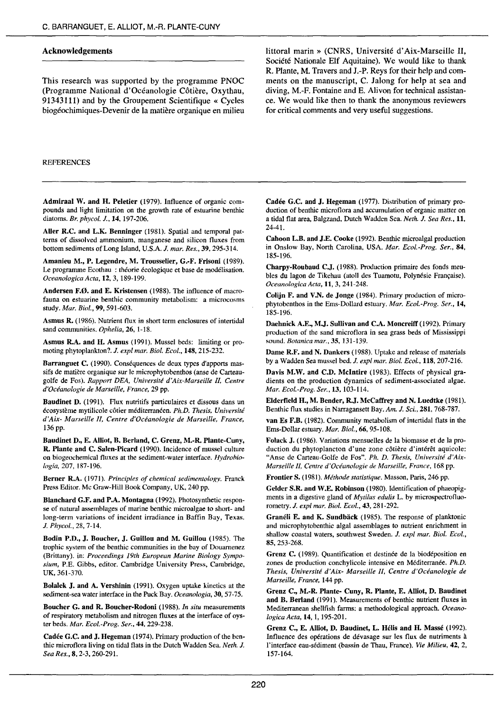#### Acknowledgements

This research was supported by the programme PNOC (Programme National d'Océanologie Côtière, Oxythau, 91343111) and by the Groupement Scientifique « Cycles biogéochimiques-Devenir de la matière organique en milieu littoral marin » (CNRS, Université d'Aix-Marseille Il, Société Nationale Elf Aquitaine). We would like to thank R. Plante, M. Travers and J.-P. Reys for their help and comments on the manuscript, C. Jalong for help at sea and diving, M.-F. Fontaine and E. Alivon for technical assistance. We would like then to thank the anonymous reviewers for critical comments and very useful suggestions.

#### REFERENCES

Admiraal W. and H. Peletier (1979). Influence of organic compounds and light limitation on the growth rate of estuarine benthic diatoms. *Br. phycol.* J., 14, 197-206.

Aller R.C. and L.K. Benninger (1981). Spatial and temporal patterns of dissolved ammonium, manganese and silicon fluxes from bottom sediments of Long Island, U.S.A. J. *mar. Res.,* 39, 295-314.

Amanieu M., P. Legendre, M. Trousselier, G.-F. Frisoni (1989). Le programme Ecothau : théorie écologique et base de modélisation. *OceanologicaActa,* 12, 3, 189-199.

Andersen F.Ø. and E. Kristensen (1988). The influence of macrofauna on estuarine benthic community metabolism: a microcosms study. *Mar. Biol.,* 99, 591-603.

Asmus R. ( 1986). Nutrient flux in short term enclosures of intertidal sand communities. *Ophelia,* 26, l-18.

Asmus R.A. and H. Asmus (1991). Musset beds: limiting or promoting phytoplankton?. J. *exp/ mar. Biol. Eco!.,* 148,215-232.

Barranguet C. (1990). Conséquences de deux types d'apports massifs de matière organique sur le microphytobenthos (anse de Carteaugolfe de Fos). *Rapport DEA, Université d'Aix-Marseille Il, Centre d'Océanologie de Marseille, France,* 29 pp.

Baudinet D. (1991). Flux nutritifs particulaires et dissous dans un écosystème mytilicole côtier méditerranéen. *Ph.D. Thesis, Université d'Aix- Marseille* li, *Centre d'Océanologie de Marseille, France,*  136 pp.

Baudinet D., E. Alliot, B. Berland, C. Grenz, M.-R. Plante-Cuny, R. Plante and C. Salen-Picard (1990). Incidence of musse! culture on biogeochemical fluxes at the sediment-water interface. *Hydrobiologia,* 207, 187-196.

Berner R.A. (1971). *Principles of chemical sedimentology*. Franck Press Editor. Mc Graw-Hill Book Company, UK, 240 pp.

Blanchard G.F. and P.A. Montagna (1992). Photosynthetic response of natural assemblages of marine benthic microalgae to short- and long-term variations of incident irradiance in Baffin Bay, Texas. J. *Phycol.,* 28,7-14.

Bodin P.D., J. Boucher, J. Guillou and M. Guillou (1985). The trophic system of the benthic communities in the bay of Douarnenez (Brittany). in: *Proceedings ]9th European Marine Bio/ogy Symposium,* P.E. Gibbs, editor. Cambridge University Press, Cambridge, UK, 361-370.

Bolalek J. and A. Vershinin (1991). Oxygen uptake kinetics at the sediment-sea water interface in the Puck Bay. *Oceanologia,* 30, 57-75.

Boucher G. and R. Boucher-Rodoni (1988). *ln situ* measurements of respiratory metabolism and nitrogen fluxes at the interface of oyster beds. *Mar. Ecol.-Prog. Ser.,* 44, 229-238.

Cadée G.C. and J. Hegeman (1974). Primary production of the benthic microflora living on tidal flats in the Dutch Wadden Sea. *Neth.* J. *Sea Res.,* 8, 2-3,260-291.

Cadée G.C. and J. Hegeman (1977). Distribution of primary production of benthic microflora and accumulation of organic matter on a tida1 flat area, Balgzand, Dutch Wadden Sea. *Neth.* J. *Sea Res.,* 11, 24-41.

Cahoon L.B. and J.E. Cooke (1992). Benthic microalgal production in Onslow Bay, North Carolina, USA. *Mar. Ecol.-Prog. Ser.,* 84, 185-196.

Charpy-Roubaud C,J. (1988). Production primaire des fonds meubles du lagon de Tikehau (atoll des Tuamotu, Polynésie Française). *Oceanologica Acta,* 11, 3, 241-248.

Colijn F. and V.N. de Jonge (1984). Primary production of microphytobenthos in the Ems-Dollard estuary. *Mar. Ecol.-Prog. Ser.,* 14, 185-196.

Daehnick A.E., M,J. Sullivan and C.A. Moncreiff (1992). Primary production of the sand microflora in sea grass beds of Mississippi sound. *Botanica mar.,* 35, 131-139.

Dame R.F. and N. Dankers (1988). Uptake and release of materials by a Wadden Sea musset hed. J. *exp/ mar. Biol. Ecot.,* 118, 207-216.

Davis M.W. and C.D. Mclntire (1983). Effects of physical gradients on the production dynamics of sediment-associated algae. *Mar. Ecol.-Prog. Ser.,* 13,103-114.

Elderfield H., M. Bender, R.J. McCaffrey and N. Luedtke (1981). Benthic flux studies in Narragansett Bay. *Am.* J. *Sei.,* 281, 768-787.

van Es F.B. (1982). Community metabolism of intertidal flats in the Ems-Dollar estuary. *Mar. Biol.,* 66,95-108.

Folack J, (1986). Variations mensuelles de la biomasse et de la production du phytoplancton d'une zone côtière d'intérêt aquicole: "Anse de Carteau-Golfe de Fos". *Ph. D. Thesis, Université d'Aix-Marseille* 1/, *Centre d'Océanologie de Marseille, France,* 168 pp.

Frontier S. ( 1981 ). *Méthode statistique.* Masson, Paris, 246 pp.

Gelder S.R. and W.E. Robinson (1980). Identification of phaeopigments in a digestive gland of *Mytilus edulis* L. by microspectrofluorometry. J. *exp/ mar. Biol. Eco!.,* 43, 281-292.

Granéli E. and K. Sundbäck (1985). The response of planktonic and microphytobenthic algal assemblages to nutrient enrichment in shallow coastal waters, southwest Sweden. J. expl mar. Biol. Ecol., 85, 253-268.

Grenz C. (1989). Quantification et destinée de la biodéposition en zones de production conchylicole intensive en Méditerranée. *Ph.D. Thesis, Université d'Aix- Marseille Il, Centre d'Océanologie de Marseille, France,* 144 pp.

Grenz C., M.-R. Plante- Cuny, R. Plante, E. Alliot, D. Baudinet and B. Berland (1991). Measurements of benthic nutrient fluxes in Mediterranean shellfish farms: a methodological approach. *Oceanologica Acta,* 14, 1, 195-201.

Grenz C., E. Alliot, D. Baudinet, L. Hélis and H. Massé ( 1992). Influence des opérations de dévasage sur les flux de nutriments à l'interface eau-sédiment (bassin de Thau, France). *Vie Milieu,* 42, 2, 157-164.